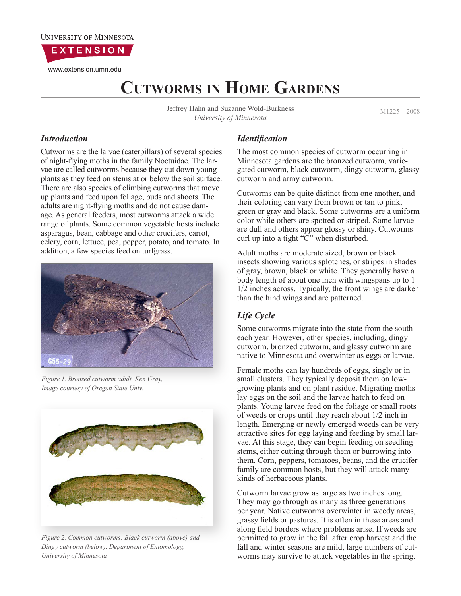

www.extension.umn.edu

# **Cutworms in Home Gardens**

Jeffrey Hahn and Suzanne Wold-Burkness<br>
M1225 2008 *University of Minnesota*

### *Introduction*

Cutworms are the larvae (caterpillars) of several species of night-flying moths in the family Noctuidae. The larvae are called cutworms because they cut down young plants as they feed on stems at or below the soil surface. There are also species of climbing cutworms that move up plants and feed upon foliage, buds and shoots. The adults are night-flying moths and do not cause damage. As general feeders, most cutworms attack a wide range of plants. Some common vegetable hosts include asparagus, bean, cabbage and other crucifers, carrot, celery, corn, lettuce, pea, pepper, potato, and tomato. In addition, a few species feed on turfgrass.



*Figure 1. Bronzed cutworm adult. Ken Gray, Image courtesy of Oregon State Univ.*



*Figure 2. Common cutworms: Black cutworm (above) and Dingy cutworm (below). Department of Entomology, University of Minnesota*

## *Identification*

The most common species of cutworm occurring in Minnesota gardens are the bronzed cutworm, variegated cutworm, black cutworm, dingy cutworm, glassy cutworm and army cutworm.

Cutworms can be quite distinct from one another, and their coloring can vary from brown or tan to pink, green or gray and black. Some cutworms are a uniform color while others are spotted or striped. Some larvae are dull and others appear glossy or shiny. Cutworms curl up into a tight "C" when disturbed.

Adult moths are moderate sized, brown or black insects showing various splotches, or stripes in shades of gray, brown, black or white. They generally have a body length of about one inch with wingspans up to 1 1/2 inches across. Typically, the front wings are darker than the hind wings and are patterned.

# *Life Cycle*

Some cutworms migrate into the state from the south each year. However, other species, including, dingy cutworm, bronzed cutworm, and glassy cutworm are native to Minnesota and overwinter as eggs or larvae.

Female moths can lay hundreds of eggs, singly or in small clusters. They typically deposit them on lowgrowing plants and on plant residue. Migrating moths lay eggs on the soil and the larvae hatch to feed on plants. Young larvae feed on the foliage or small roots of weeds or crops until they reach about 1/2 inch in length. Emerging or newly emerged weeds can be very attractive sites for egg laying and feeding by small larvae. At this stage, they can begin feeding on seedling stems, either cutting through them or burrowing into them. Corn, peppers, tomatoes, beans, and the crucifer family are common hosts, but they will attack many kinds of herbaceous plants.

Cutworm larvae grow as large as two inches long. They may go through as many as three generations per year. Native cutworms overwinter in weedy areas, grassy fields or pastures. It is often in these areas and along field borders where problems arise. If weeds are permitted to grow in the fall after crop harvest and the fall and winter seasons are mild, large numbers of cutworms may survive to attack vegetables in the spring.